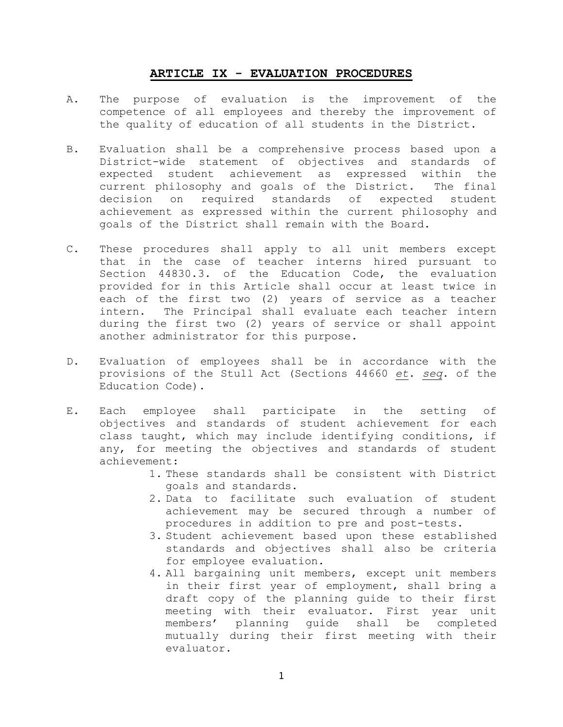## **ARTICLE IX - EVALUATION PROCEDURES**

- A. The purpose of evaluation is the improvement of the competence of all employees and thereby the improvement of the quality of education of all students in the District.
- B. Evaluation shall be a comprehensive process based upon a District-wide statement of objectives and standards of expected student achievement as expressed within the current philosophy and goals of the District. The final decision on required standards of expected student achievement as expressed within the current philosophy and goals of the District shall remain with the Board.
- C. These procedures shall apply to all unit members except that in the case of teacher interns hired pursuant to Section 44830.3. of the Education Code, the evaluation provided for in this Article shall occur at least twice in each of the first two (2) years of service as a teacher intern. The Principal shall evaluate each teacher intern during the first two (2) years of service or shall appoint another administrator for this purpose.
- D. Evaluation of employees shall be in accordance with the provisions of the Stull Act (Sections 44660 *et*. *seq*. of the Education Code).
- E. Each employee shall participate in the setting of objectives and standards of student achievement for each class taught, which may include identifying conditions, if any, for meeting the objectives and standards of student achievement:
	- 1. These standards shall be consistent with District goals and standards.
	- 2. Data to facilitate such evaluation of student achievement may be secured through a number of procedures in addition to pre and post-tests.
	- 3. Student achievement based upon these established standards and objectives shall also be criteria for employee evaluation.
	- 4. All bargaining unit members, except unit members in their first year of employment, shall bring a draft copy of the planning guide to their first meeting with their evaluator. First year unit members' planning guide shall be completed mutually during their first meeting with their evaluator.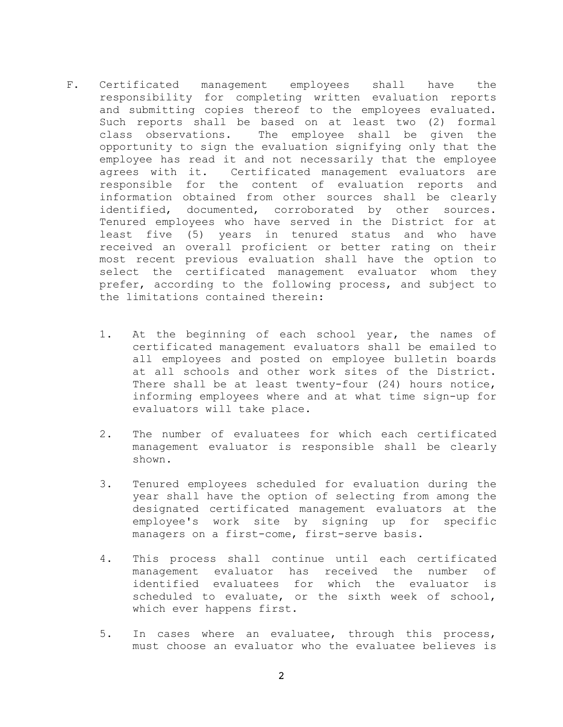- F. Certificated management employees shall have the responsibility for completing written evaluation reports and submitting copies thereof to the employees evaluated. Such reports shall be based on at least two (2) formal class observations. The employee shall be given the opportunity to sign the evaluation signifying only that the employee has read it and not necessarily that the employee agrees with it. Certificated management evaluators are responsible for the content of evaluation reports and information obtained from other sources shall be clearly identified, documented, corroborated by other sources. Tenured employees who have served in the District for at least five (5) years in tenured status and who have received an overall proficient or better rating on their most recent previous evaluation shall have the option to select the certificated management evaluator whom they prefer, according to the following process, and subject to the limitations contained therein:
	- 1. At the beginning of each school year, the names of certificated management evaluators shall be emailed to all employees and posted on employee bulletin boards at all schools and other work sites of the District. There shall be at least twenty-four (24) hours notice, informing employees where and at what time sign-up for evaluators will take place.
	- 2. The number of evaluatees for which each certificated management evaluator is responsible shall be clearly shown.
	- 3. Tenured employees scheduled for evaluation during the year shall have the option of selecting from among the designated certificated management evaluators at the employee's work site by signing up for specific managers on a first-come, first-serve basis.
	- 4. This process shall continue until each certificated management evaluator has received the number of identified evaluatees for which the evaluator is scheduled to evaluate, or the sixth week of school, which ever happens first.
	- 5. In cases where an evaluatee, through this process, must choose an evaluator who the evaluatee believes is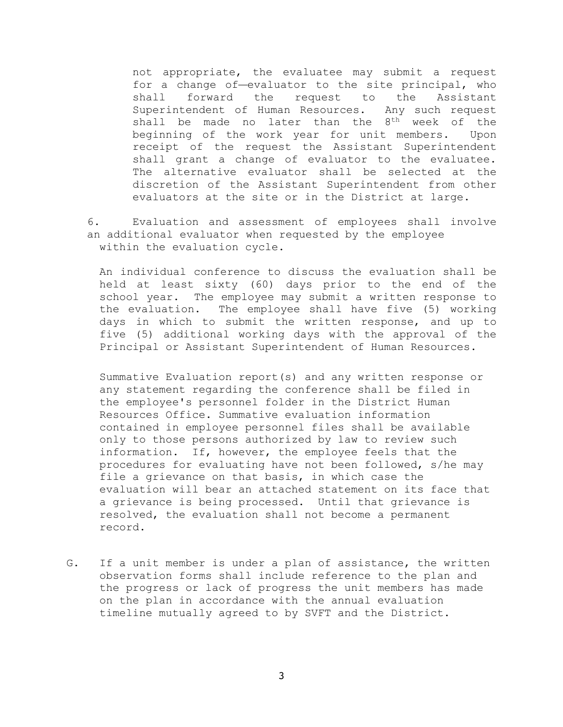not appropriate, the evaluatee may submit a request for a change of-evaluator to the site principal, who shall forward the request to the Assistant Superintendent of Human Resources. Any such request shall be made no later than the 8<sup>th</sup> week of the beginning of the work year for unit members. Upon receipt of the request the Assistant Superintendent shall grant a change of evaluator to the evaluatee. The alternative evaluator shall be selected at the discretion of the Assistant Superintendent from other evaluators at the site or in the District at large.

6. Evaluation and assessment of employees shall involve an additional evaluator when requested by the employee within the evaluation cycle.

An individual conference to discuss the evaluation shall be held at least sixty (60) days prior to the end of the school year. The employee may submit a written response to the evaluation. The employee shall have five (5) working days in which to submit the written response, and up to five (5) additional working days with the approval of the Principal or Assistant Superintendent of Human Resources.

Summative Evaluation report(s) and any written response or any statement regarding the conference shall be filed in the employee's personnel folder in the District Human Resources Office. Summative evaluation information contained in employee personnel files shall be available only to those persons authorized by law to review such information. If, however, the employee feels that the procedures for evaluating have not been followed, s/he may file a grievance on that basis, in which case the evaluation will bear an attached statement on its face that a grievance is being processed. Until that grievance is resolved, the evaluation shall not become a permanent record.

G. If a unit member is under a plan of assistance, the written observation forms shall include reference to the plan and the progress or lack of progress the unit members has made on the plan in accordance with the annual evaluation timeline mutually agreed to by SVFT and the District.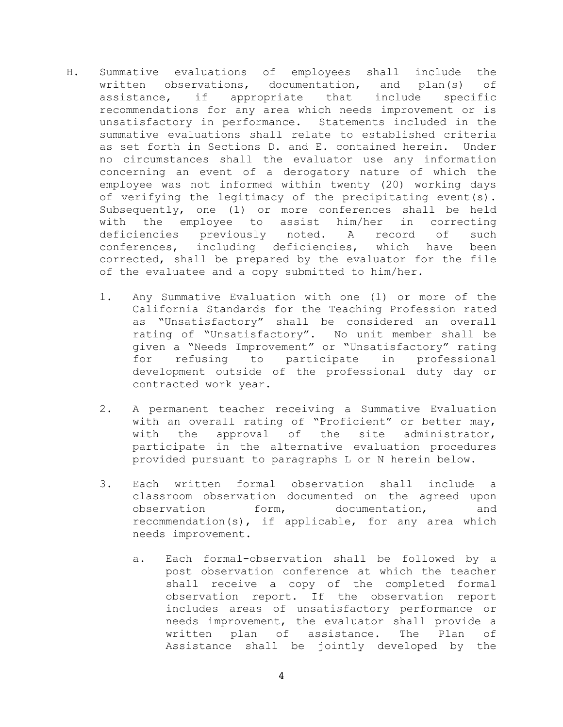- H. Summative evaluations of employees shall include the written observations, documentation, and plan(s) of assistance, if appropriate that include specific recommendations for any area which needs improvement or is unsatisfactory in performance. Statements included in the summative evaluations shall relate to established criteria as set forth in Sections D. and E. contained herein. Under no circumstances shall the evaluator use any information concerning an event of a derogatory nature of which the employee was not informed within twenty (20) working days of verifying the legitimacy of the precipitating event(s). Subsequently, one (1) or more conferences shall be held with the employee to assist him/her in correcting deficiencies previously noted. A record of such conferences, including deficiencies, which have been corrected, shall be prepared by the evaluator for the file of the evaluatee and a copy submitted to him/her.
	- 1. Any Summative Evaluation with one (1) or more of the California Standards for the Teaching Profession rated as "Unsatisfactory" shall be considered an overall rating of "Unsatisfactory". No unit member shall be given a "Needs Improvement" or "Unsatisfactory" rating for refusing to participate in professional development outside of the professional duty day or contracted work year.
	- 2. A permanent teacher receiving a Summative Evaluation with an overall rating of "Proficient" or better may, with the approval of the site administrator, participate in the alternative evaluation procedures provided pursuant to paragraphs L or N herein below.
	- 3. Each written formal observation shall include a classroom observation documented on the agreed upon observation form, documentation, and recommendation(s), if applicable, for any area which needs improvement.
		- a. Each formal-observation shall be followed by a post observation conference at which the teacher shall receive a copy of the completed formal observation report. If the observation report includes areas of unsatisfactory performance or needs improvement, the evaluator shall provide a written plan of assistance. The Plan of Assistance shall be jointly developed by the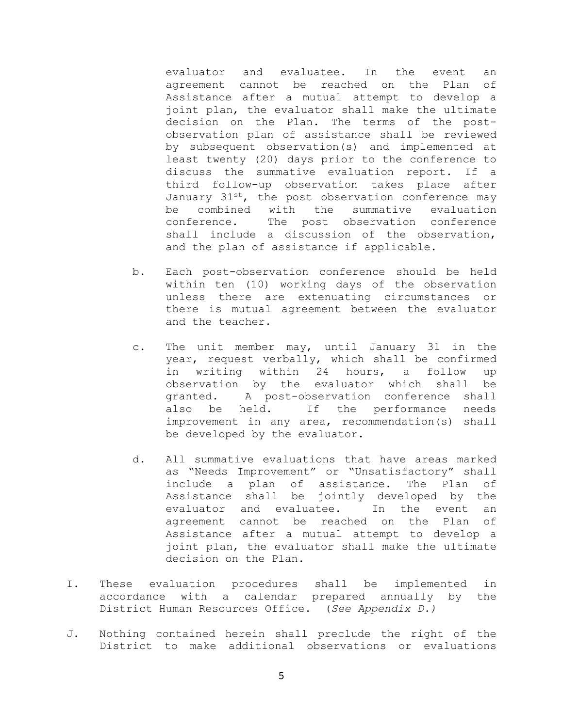evaluator and evaluatee. In the event an agreement cannot be reached on the Plan of Assistance after a mutual attempt to develop a joint plan, the evaluator shall make the ultimate decision on the Plan. The terms of the postobservation plan of assistance shall be reviewed by subsequent observation(s) and implemented at least twenty (20) days prior to the conference to discuss the summative evaluation report. If a third follow-up observation takes place after January  $31^{st}$ , the post observation conference may be combined with the summative evaluation conference. The post observation conference shall include a discussion of the observation, and the plan of assistance if applicable.

- b. Each post-observation conference should be held within ten (10) working days of the observation unless there are extenuating circumstances or there is mutual agreement between the evaluator and the teacher.
- c. The unit member may, until January 31 in the year, request verbally, which shall be confirmed in writing within 24 hours, a follow up observation by the evaluator which shall be granted. A post-observation conference shall also be held. If the performance needs improvement in any area, recommendation(s) shall be developed by the evaluator.
- d. All summative evaluations that have areas marked as "Needs Improvement" or "Unsatisfactory" shall include a plan of assistance. The Plan of Assistance shall be jointly developed by the evaluator and evaluatee. In the event an agreement cannot be reached on the Plan of Assistance after a mutual attempt to develop a joint plan, the evaluator shall make the ultimate decision on the Plan.
- I. These evaluation procedures shall be implemented in accordance with a calendar prepared annually by the District Human Resources Office. (*See Appendix D.)*
- J. Nothing contained herein shall preclude the right of the District to make additional observations or evaluations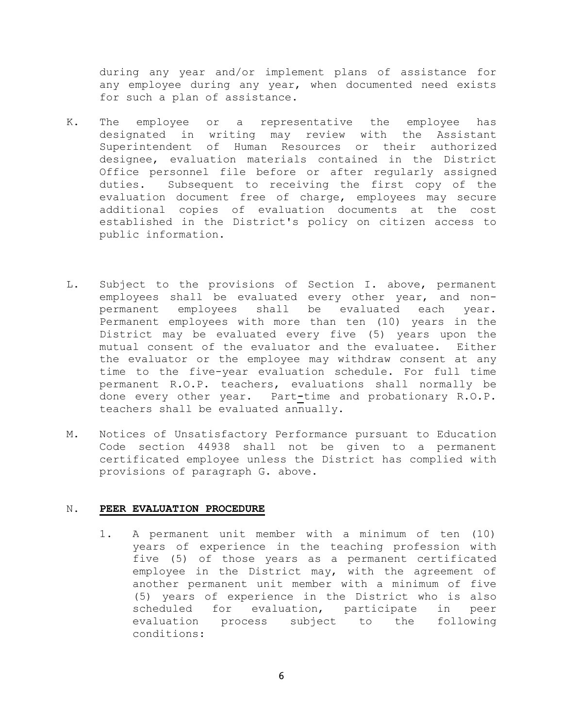during any year and/or implement plans of assistance for any employee during any year, when documented need exists for such a plan of assistance.

- K. The employee or a representative the employee has designated in writing may review with the Assistant Superintendent of Human Resources or their authorized designee, evaluation materials contained in the District Office personnel file before or after regularly assigned duties. Subsequent to receiving the first copy of the evaluation document free of charge, employees may secure additional copies of evaluation documents at the cost established in the District's policy on citizen access to public information.
- L. Subject to the provisions of Section I. above, permanent employees shall be evaluated every other year, and nonpermanent employees shall be evaluated each year. Permanent employees with more than ten (10) years in the District may be evaluated every five (5) years upon the mutual consent of the evaluator and the evaluatee. Either the evaluator or the employee may withdraw consent at any time to the five-year evaluation schedule. For full time permanent R.O.P. teachers, evaluations shall normally be done every other year. Part**-**time and probationary R.O.P. teachers shall be evaluated annually.
- M. Notices of Unsatisfactory Performance pursuant to Education Code section 44938 shall not be given to a permanent certificated employee unless the District has complied with provisions of paragraph G. above.

## N. **PEER EVALUATION PROCEDURE**

1. A permanent unit member with a minimum of ten (10) years of experience in the teaching profession with five (5) of those years as a permanent certificated employee in the District may, with the agreement of another permanent unit member with a minimum of five (5) years of experience in the District who is also scheduled for evaluation, participate in peer evaluation process subject to the following conditions: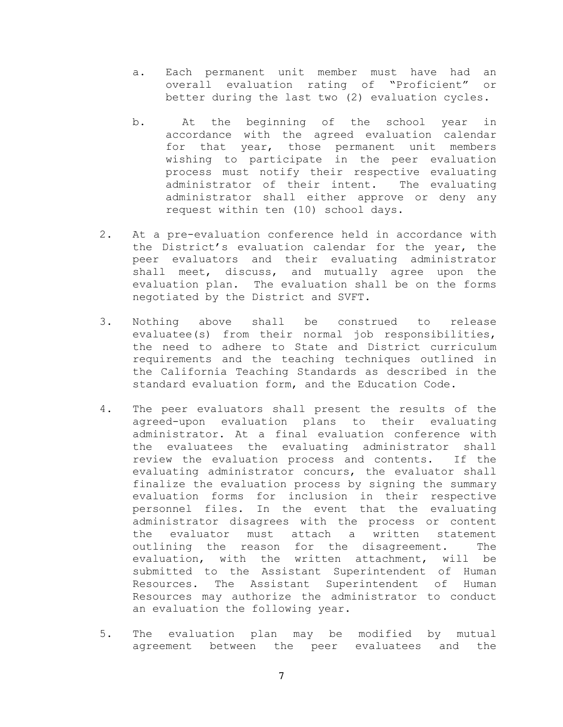- a. Each permanent unit member must have had an overall evaluation rating of "Proficient" or better during the last two (2) evaluation cycles.
- b. At the beginning of the school year in accordance with the agreed evaluation calendar for that year, those permanent unit members wishing to participate in the peer evaluation process must notify their respective evaluating administrator of their intent. The evaluating administrator shall either approve or deny any request within ten (10) school days.
- 2. At a pre-evaluation conference held in accordance with the District's evaluation calendar for the year, the peer evaluators and their evaluating administrator shall meet, discuss, and mutually agree upon the evaluation plan. The evaluation shall be on the forms negotiated by the District and SVFT.
- 3. Nothing above shall be construed to release evaluatee(s) from their normal job responsibilities, the need to adhere to State and District curriculum requirements and the teaching techniques outlined in the California Teaching Standards as described in the standard evaluation form, and the Education Code.
- 4. The peer evaluators shall present the results of the agreed-upon evaluation plans to their evaluating administrator. At a final evaluation conference with the evaluatees the evaluating administrator shall review the evaluation process and contents. If the evaluating administrator concurs, the evaluator shall finalize the evaluation process by signing the summary evaluation forms for inclusion in their respective personnel files. In the event that the evaluating administrator disagrees with the process or content the evaluator must attach a written statement outlining the reason for the disagreement. The evaluation, with the written attachment, will be submitted to the Assistant Superintendent of Human Resources. The Assistant Superintendent of Human Resources may authorize the administrator to conduct an evaluation the following year.
- 5. The evaluation plan may be modified by mutual agreement between the peer evaluatees and the